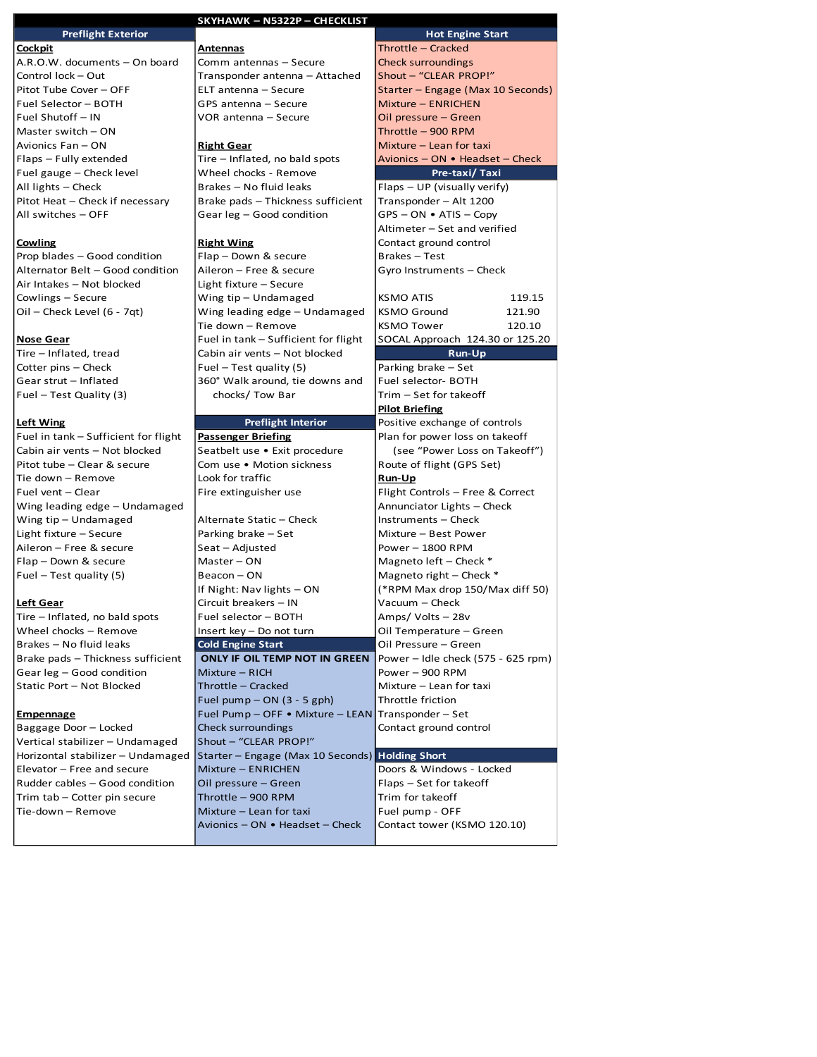|                                                        | <b>SKYHAWK - N5322P - CHECKLIST</b>                                |                                             |
|--------------------------------------------------------|--------------------------------------------------------------------|---------------------------------------------|
| <b>Preflight Exterior</b>                              |                                                                    | <b>Hot Engine Start</b>                     |
| <u>Cockpit</u>                                         | <u>Antennas</u>                                                    | Throttle - Cracked                          |
| A.R.O.W. documents - On board                          | Comm antennas - Secure                                             | <b>Check surroundings</b>                   |
| Control lock - Out                                     | Transponder antenna - Attached                                     | Shout - "CLEAR PROP!"                       |
| Pitot Tube Cover - OFF                                 | ELT antenna - Secure                                               | Starter - Engage (Max 10 Seconds)           |
| Fuel Selector - BOTH                                   | GPS antenna - Secure                                               | Mixture - ENRICHEN                          |
| Fuel Shutoff - IN                                      | VOR antenna - Secure                                               | Oil pressure - Green                        |
| Master switch $-$ ON                                   |                                                                    | Throttle - 900 RPM                          |
| Avionics Fan - ON                                      | <b>Right Gear</b>                                                  | Mixture - Lean for taxi                     |
| Flaps – Fully extended                                 | Tire - Inflated, no bald spots                                     | Avionics - ON • Headset - Check             |
| Fuel gauge - Check level                               | Wheel chocks - Remove                                              | Pre-taxi/Taxi                               |
| All lights - Check                                     | Brakes - No fluid leaks                                            | $Flaps - UP$ (visually verify)              |
| Pitot Heat - Check if necessary                        | Brake pads - Thickness sufficient                                  | Transponder - Alt 1200                      |
| All switches - OFF                                     | Gear leg - Good condition                                          | $GPS - ON - ATIS - Copy$                    |
|                                                        |                                                                    | Altimeter - Set and verified                |
| Cowling                                                | <b>Right Wing</b>                                                  | Contact ground control                      |
| Prop blades - Good condition                           | Flap - Down & secure                                               | Brakes - Test                               |
| Alternator Belt - Good condition                       | Aileron - Free & secure                                            | Gyro Instruments - Check                    |
| Air Intakes - Not blocked                              | Light fixture - Secure                                             |                                             |
| Cowlings - Secure                                      | Wing tip - Undamaged                                               | <b>KSMO ATIS</b><br>119.15                  |
| Oil – Check Level (6 - 7qt)                            | Wing leading edge - Undamaged                                      | <b>KSMO Ground</b><br>121.90                |
|                                                        | Tie down - Remove                                                  | <b>KSMO Tower</b><br>120.10                 |
| <b>Nose Gear</b>                                       | Fuel in tank - Sufficient for flight                               | SOCAL Approach 124.30 or 125.20             |
| Tire - Inflated, tread                                 | Cabin air vents - Not blocked                                      | Run-Up                                      |
| Cotter pins - Check                                    | Fuel - Test quality (5)                                            | Parking brake – Set                         |
| Gear strut - Inflated                                  | 360° Walk around, tie downs and                                    | Fuel selector- BOTH                         |
| Fuel – Test Quality (3)                                | chocks/ Tow Bar                                                    | Trim – Set for takeoff                      |
|                                                        |                                                                    | <b>Pilot Briefing</b>                       |
| <b>Left Wing</b>                                       | <b>Preflight Interior</b>                                          | Positive exchange of controls               |
| Fuel in tank - Sufficient for flight                   | <b>Passenger Briefing</b>                                          | Plan for power loss on takeoff              |
| Cabin air vents - Not blocked                          | Seatbelt use • Exit procedure                                      | (see "Power Loss on Takeoff")               |
| Pitot tube - Clear & secure                            | Com use . Motion sickness                                          | Route of flight (GPS Set)                   |
| Tie down - Remove                                      | Look for traffic                                                   | Run-Up                                      |
| Fuel vent - Clear                                      | Fire extinguisher use                                              | Flight Controls - Free & Correct            |
| Wing leading edge - Undamaged                          |                                                                    | Annunciator Lights - Check                  |
| Wing tip - Undamaged<br>Light fixture - Secure         | Alternate Static - Check<br>Parking brake - Set                    | Instruments - Check<br>Mixture - Best Power |
| Aileron - Free & secure                                | Seat – Adjusted                                                    | Power - 1800 RPM                            |
| Flap - Down & secure                                   | Master - ON                                                        | Magneto left - Check *                      |
| Fuel $-$ Test quality (5)                              | Beacon – ON                                                        | Magneto right $-$ Check $*$                 |
|                                                        | If Night: Nav lights - ON                                          | (*RPM Max drop 150/Max diff 50)             |
| Le <u>ft Gear</u>                                      | Circuit breakers - IN                                              | Vacuum – Check                              |
|                                                        |                                                                    |                                             |
|                                                        |                                                                    |                                             |
| Tire - Inflated, no bald spots                         | Fuel selector - BOTH                                               | Amps/Volts-28v                              |
| Wheel chocks - Remove                                  | Insert key - Do not turn                                           | Oil Temperature - Green                     |
| Brakes - No fluid leaks                                | <b>Cold Engine Start</b>                                           | Oil Pressure - Green                        |
| Brake pads - Thickness sufficient                      | ONLY IF OIL TEMP NOT IN GREEN                                      | Power - Idle check (575 - 625 rpm)          |
| Gear leg - Good condition<br>Static Port - Not Blocked | Mixture - RICH<br>Throttle - Cracked                               | Power - 900 RPM<br>Mixture - Lean for taxi  |
|                                                        |                                                                    | Throttle friction                           |
|                                                        | Fuel pump $-$ ON $(3 - 5$ gph)<br>Fuel Pump - OFF . Mixture - LEAN | Transponder - Set                           |
| <b>Empennage</b><br>Baggage Door - Locked              | Check surroundings                                                 | Contact ground control                      |
| Vertical stabilizer - Undamaged                        | Shout - "CLEAR PROP!"                                              |                                             |
| Horizontal stabilizer - Undamaged                      | Starter - Engage (Max 10 Seconds) Holding Short                    |                                             |
| Elevator - Free and secure                             | Mixture - ENRICHEN                                                 | Doors & Windows - Locked                    |
| Rudder cables - Good condition                         | Oil pressure – Green                                               | Flaps – Set for takeoff                     |
| Trim tab - Cotter pin secure                           | Throttle - 900 RPM                                                 | Trim for takeoff                            |
| Tie-down - Remove                                      | Mixture - Lean for taxi                                            | Fuel pump - OFF                             |
|                                                        | Avionics - ON • Headset - Check                                    | Contact tower (KSMO 120.10)                 |